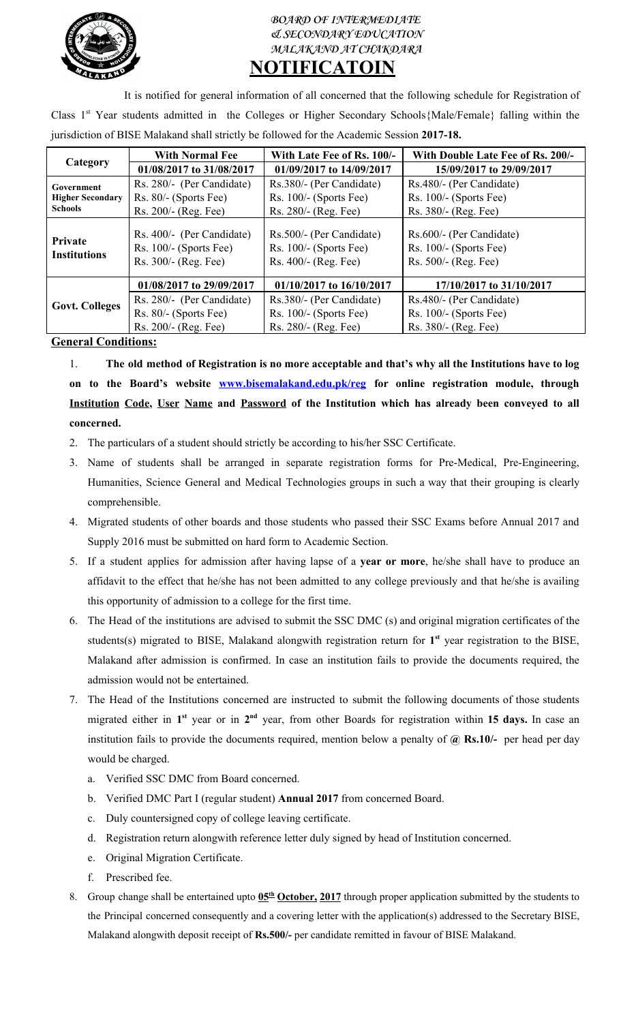

## **BOARD OF INTERMEDIATE & SECONDARY EDUCATION MALAKAND AT CHAKDARA NOTIFICATOIN**

It is notified for general information of all concerned that the following schedule for Registration of Class 1<sup>st</sup> Year students admitted in the Colleges or Higher Secondary Schools{Male/Female} falling within the jurisdiction of BISE Malakand shall strictly be followed for the Academic Session **2017-18.**

| Category                                                       | <b>With Normal Fee</b>                                                        | With Late Fee of Rs. 100/-                                                   | With Double Late Fee of Rs. 200/-                                            |
|----------------------------------------------------------------|-------------------------------------------------------------------------------|------------------------------------------------------------------------------|------------------------------------------------------------------------------|
|                                                                | 01/08/2017 to 31/08/2017                                                      | 01/09/2017 to 14/09/2017                                                     | 15/09/2017 to 29/09/2017                                                     |
| <b>Government</b><br><b>Higher Secondary</b><br><b>Schools</b> | Rs. 280/- (Per Candidate)                                                     | Rs.380/- (Per Candidate)                                                     | Rs.480/- (Per Candidate)                                                     |
|                                                                | Rs. 80/- (Sports Fee)                                                         | Rs. $100/-$ (Sports Fee)                                                     | Rs. $100/-$ (Sports Fee)                                                     |
|                                                                | Rs. 200/- (Reg. Fee)                                                          | Rs. 280/- (Reg. Fee)                                                         | Rs. 380/- (Reg. Fee)                                                         |
| Private<br><b>Institutions</b>                                 | Rs. 400/- (Per Candidate)<br>Rs. $100/-$ (Sports Fee)<br>Rs. 300/- (Reg. Fee) | Rs.500/- (Per Candidate)<br>$Rs. 100/- (Sports Fee)$<br>Rs. 400/- (Reg. Fee) | Rs.600/- (Per Candidate)<br>$Rs. 100/- (Sports Fee)$<br>Rs. 500/- (Reg. Fee) |
| <b>Govt. Colleges</b>                                          | 01/08/2017 to 29/09/2017                                                      | $01/10/2017$ to $16/10/2017$                                                 | 17/10/2017 to 31/10/2017                                                     |
|                                                                | Rs. 280/- (Per Candidate)                                                     | Rs.380/- (Per Candidate)                                                     | Rs.480/- (Per Candidate)                                                     |
|                                                                | Rs. 80/- (Sports Fee)                                                         | $Rs. 100/- (Sports Fee)$                                                     | Rs. $100/-$ (Sports Fee)                                                     |
|                                                                | Rs. 200/- (Reg. Fee)                                                          | Rs. 280/- (Reg. Fee)                                                         | Rs. 380/- (Reg. Fee)                                                         |

## **General Conditions:**

1. The old method of Registration is no more acceptable and that's why all the Institutions have to log **on to the Board's website [www.bisemalakand.edu.pk/reg](http://www.bisemalakand.edu.pk/reg) for online registration module, through Institution Code, User Name and Password of the Institution which has already been conveyed to all concerned.**

- 2. The particulars of a student should strictly be according to his/her SSC Certificate.
- 3. Name of students shall be arranged in separate registration forms for Pre-Medical, Pre-Engineering, Humanities, Science General and Medical Technologies groups in such a way that their grouping is clearly comprehensible.
- 4. Migrated students of other boards and those students who passed their SSC Exams before Annual 2017 and Supply 2016 must be submitted on hard form to Academic Section.
- 5. If a student applies for admission after having lapse of a **year or more**, he/she shall have to produce an affidavit to the effect that he/she has not been admitted to any college previously and that he/she is availing this opportunity of admission to a college for the first time.
- 6. The Head of the institutions are advised to submit the SSC DMC (s) and original migration certificates of the students(s) migrated to BISE, Malakand alongwith registration return for **1 st** year registration to the BISE, Malakand after admission is confirmed. In case an institution fails to provide the documents required, the admission would not be entertained.
- 7. The Head of the Institutions concerned are instructed to submit the following documents of those students migrated either in 1<sup>st</sup> year or in 2<sup>nd</sup> year, from other Boards for registration within 15 days. In case an institution fails to provide the documents required, mention below a penalty of **@ Rs.10/-** per head per day would be charged.
	- a. Verified SSC DMC from Board concerned.
	- b. Verified DMC Part I (regular student) **Annual 2017** from concerned Board.
	- c. Duly countersigned copy of college leaving certificate.
	- d. Registration return alongwith reference letter duly signed by head of Institution concerned.
	- e. Original Migration Certificate.
	- f. Prescribed fee.
- 8. Group change shall be entertained upto  $0.5<sup>th</sup>$  October, 2017 through proper application submitted by the students to the Principal concerned consequently and a covering letter with the application(s) addressed to the Secretary BISE, Malakand alongwith deposit receipt of **Rs.500/-** per candidate remitted in favour of BISE Malakand.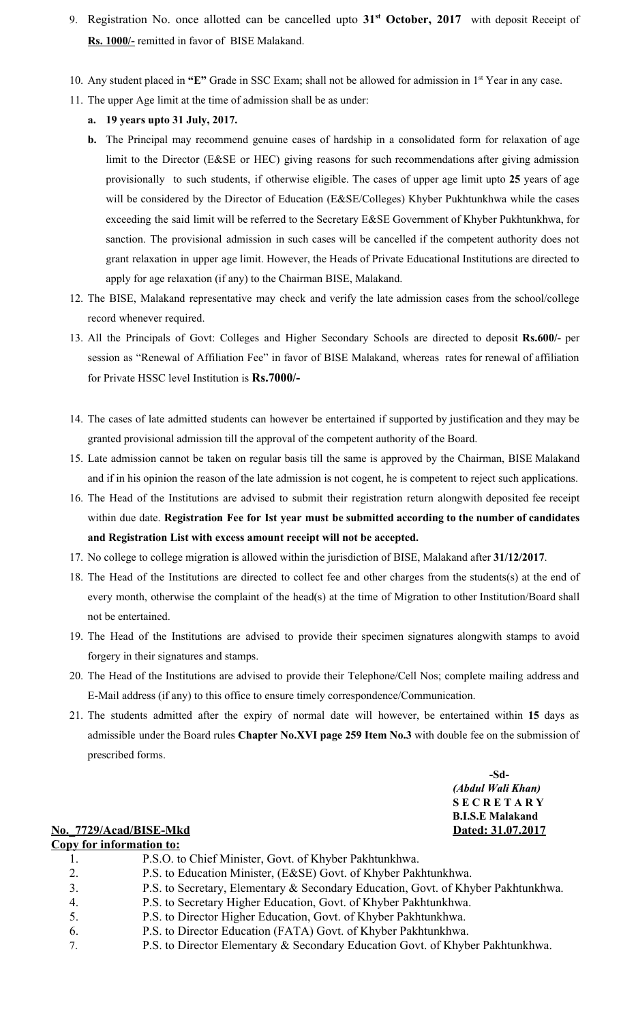- 9. Registration No. once allotted can be cancelled upto **31 st October, 2017** with deposit Receipt of **Rs. 1000/-** remitted in favor of BISE Malakand.
- 10. Any student placed in "E" Grade in SSC Exam; shall not be allowed for admission in 1<sup>st</sup> Year in any case.
- 11. The upper Age limit at the time of admission shall be as under:
	- **a. 19 years upto 31 July, 2017.**
	- **b.** The Principal may recommend genuine cases of hardship in a consolidated form for relaxation of age limit to the Director (E&SE or HEC) giving reasons for such recommendations after giving admission provisionally to such students, if otherwise eligible. The cases of upper age limit upto **25** years of age will be considered by the Director of Education (E&SE/Colleges) Khyber Pukhtunkhwa while the cases exceeding the said limit will be referred to the Secretary E&SE Government of Khyber Pukhtunkhwa, for sanction. The provisional admission in such cases will be cancelled if the competent authority does not grant relaxation in upper age limit. However, the Heads of Private Educational Institutions are directed to apply for age relaxation (if any) to the Chairman BISE, Malakand.
- 12. The BISE, Malakand representative may check and verify the late admission cases from the school/college record whenever required.
- 13. All the Principals of Govt: Colleges and Higher Secondary Schools are directed to deposit **Rs.600/-** per session as "Renewal of Affiliation Fee" in favor of BISE Malakand, whereas rates for renewal of affiliation for Private HSSC level Institution is **Rs.7000/-**
- 14. The cases of late admitted students can however be entertained if supported by justification and they may be granted provisional admission till the approval of the competent authority of the Board.
- 15. Late admission cannot be taken on regular basis till the same is approved by the Chairman, BISE Malakand and if in his opinion the reason of the late admission is not cogent, he is competent to reject such applications.
- 16. The Head of the Institutions are advised to submit their registration return alongwith deposited fee receipt within due date. **Registration Fee for Ist year must be submitted according to the number of candidates and Registration List with excess amount receipt will not be accepted.**
- 17. No college to college migration is allowed within the jurisdiction of BISE, Malakand after **31/12/2017**.
- 18. The Head of the Institutions are directed to collect fee and other charges from the students(s) at the end of every month, otherwise the complaint of the head(s) at the time of Migration to other Institution/Board shall not be entertained.
- 19. The Head of the Institutions are advised to provide their specimen signatures alongwith stamps to avoid forgery in their signatures and stamps.
- 20. The Head of the Institutions are advised to provide their Telephone/Cell Nos; complete mailing address and E-Mail address (if any) to this office to ensure timely correspondence/Communication.
- 21. The students admitted after the expiry of normal date will however, be entertained within **15** days as admissible under the Board rules **Chapter No.XVI page 259 Item No.3** with double fee on the submission of prescribed forms.

**-Sd-** *(Abdul Wali Khan)* **S E C R E T A R Y B.I.S.E Malakand**

## **No.\_7729/Acad/BISE-Mkd Dated: 31.07.2017**

| <b>Copy for information to:</b> |                                                                                   |  |  |
|---------------------------------|-----------------------------------------------------------------------------------|--|--|
|                                 | P.S.O. to Chief Minister, Govt. of Khyber Pakhtunkhwa.                            |  |  |
| 2.                              | P.S. to Education Minister, (E&SE) Govt. of Khyber Pakhtunkhwa.                   |  |  |
| 3.                              | P.S. to Secretary, Elementary & Secondary Education, Govt. of Khyber Pakhtunkhwa. |  |  |
| 4.                              | P.S. to Secretary Higher Education, Govt. of Khyber Pakhtunkhwa.                  |  |  |
| 5.                              | P.S. to Director Higher Education, Govt. of Khyber Pakhtunkhwa.                   |  |  |
| 6.                              | P.S. to Director Education (FATA) Govt. of Khyber Pakhtunkhwa.                    |  |  |
| $7_{\scriptscriptstyle{\circ}}$ | P.S. to Director Elementary & Secondary Education Govt. of Khyber Pakhtunkhwa.    |  |  |